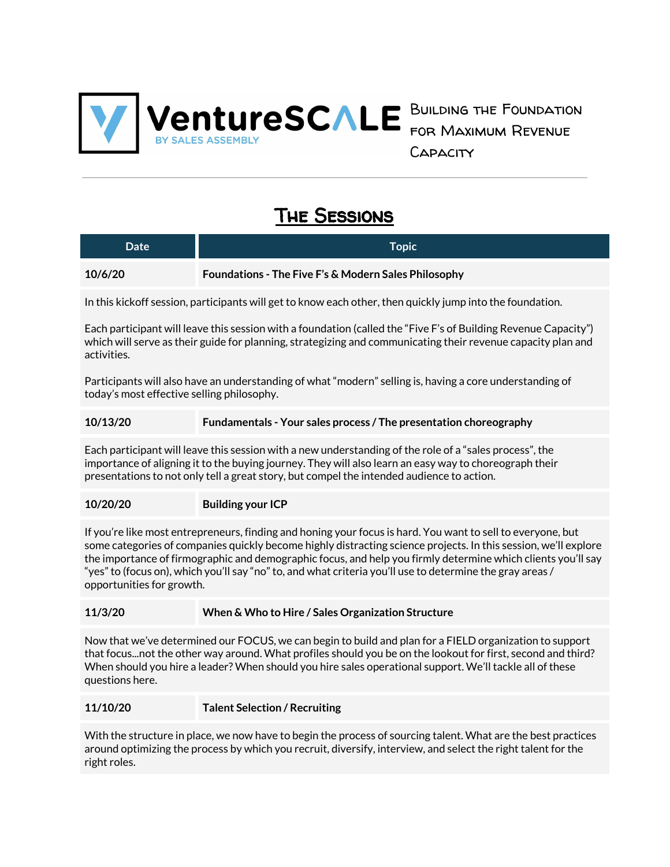

Building the Foundation for Maximum Revenue **CAPACITY** 

# The Sessions

| Date    | Topic                                                |
|---------|------------------------------------------------------|
| 10/6/20 | Foundations - The Five F's & Modern Sales Philosophy |

In this kickoff session, participants will get to know each other, then quickly jump into the foundation.

Each participant will leave this session with a foundation (called the "Five F's of Building Revenue Capacity") which will serve as their guide for planning, strategizing and communicating their revenue capacity plan and activities.

Participants will also have an understanding of what "modern" selling is, having a core understanding of today's most effective selling philosophy.

#### **10/13/20 Fundamentals - Your sales process / The presentation choreography**

Each participant will leave this session with a new understanding of the role of a "sales process", the importance of aligning it to the buying journey. They will also learn an easy way to choreograph their presentations to not only tell a great story, but compel the intended audience to action.

#### **10/20/20 Building your ICP**

If you're like most entrepreneurs, finding and honing your focus is hard. You want to sell to everyone, but some categories of companies quickly become highly distracting science projects. In this session, we'll explore the importance of firmographic and demographic focus, and help you firmly determine which clients you'll say "yes" to (focus on), which you'll say "no" to, and what criteria you'll use to determine the gray areas / opportunities for growth.

#### **11/3/20 When & Who to Hire / Sales Organization Structure**

Now that we've determined our FOCUS, we can begin to build and plan for a FIELD organization to support that focus...not the other way around. What profiles should you be on the lookout for first, second and third? When should you hire a leader? When should you hire sales operational support. We'll tackle all of these questions here.

#### **11/10/20 Talent Selection / Recruiting**

With the structure in place, we now have to begin the process of sourcing talent. What are the best practices around optimizing the process by which you recruit, diversify, interview, and select the right talent for the right roles.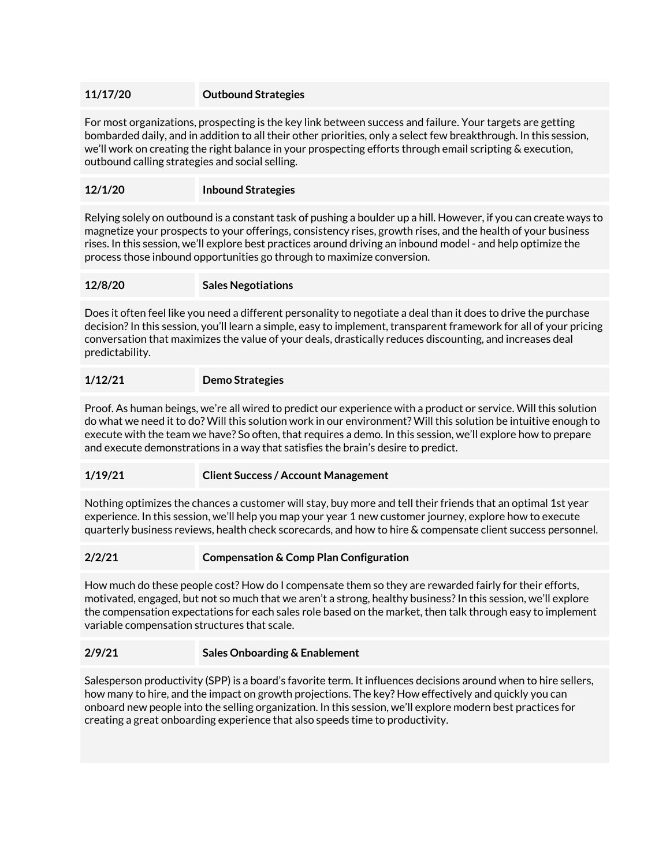## **11/17/20 Outbound Strategies**

For most organizations, prospecting is the key link between success and failure. Your targets are getting bombarded daily, and in addition to all their other priorities, only a select few breakthrough. In this session, we'll work on creating the right balance in your prospecting efforts through email scripting & execution, outbound calling strategies and social selling.

## **12/1/20 Inbound Strategies**

Relying solely on outbound is a constant task of pushing a boulder up a hill. However, if you can create ways to magnetize your prospects to your offerings, consistency rises, growth rises, and the health of your business rises. In this session, we'll explore best practices around driving an inbound model - and help optimize the process those inbound opportunities go through to maximize conversion.

#### **12/8/20 Sales Negotiations**

Does it often feel like you need a different personality to negotiate a deal than it does to drive the purchase decision?In this session, you'll learn a simple, easy to implement, transparent framework for all of your pricing conversation that maximizes the value of your deals, drastically reduces discounting, and increases deal predictability.

#### **1/12/21 Demo Strategies**

Proof. As human beings, we're all wired to predict our experience with a product or service. Will this solution do what we need it to do? Will this solution work in our environment? Will this solution be intuitive enough to execute with the team we have? So often, that requires a demo. In this session, we'll explore how to prepare and execute demonstrations in a way that satisfies the brain's desire to predict.

#### **1/19/21 Client Success / Account Management**

Nothing optimizes the chances a customer will stay, buy more and tell their friends that an optimal 1st year experience. In this session, we'll help you map your year 1 new customer journey, explore how to execute quarterly business reviews, health check scorecards, and how to hire & compensate client success personnel.

#### **2/2/21 Compensation & Comp Plan Configuration**

How much do these people cost? How do I compensate them so they are rewarded fairly for their efforts, motivated, engaged, but not so much that we aren't a strong, healthy business?In this session, we'll explore the compensation expectations for each sales role based on the market, then talk through easy to implement variable compensation structures that scale.

#### **2/9/21 Sales Onboarding & Enablement**

Salesperson productivity (SPP) is a board's favorite term. It influences decisions around when to hire sellers, how many to hire, and the impact on growth projections. The key? How effectively and quickly you can onboard new people into the selling organization. In this session, we'll explore modern best practices for creating a great onboarding experience that also speeds time to productivity.